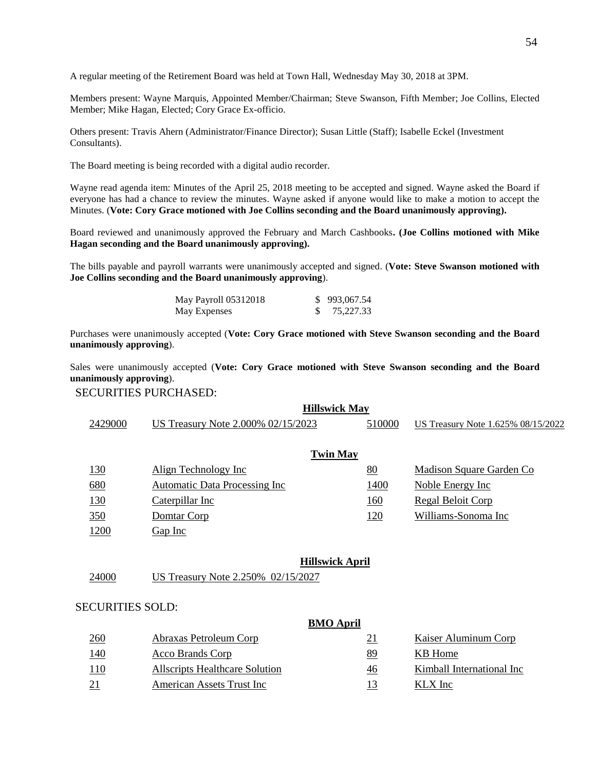A regular meeting of the Retirement Board was held at Town Hall, Wednesday May 30, 2018 at 3PM.

Members present: Wayne Marquis, Appointed Member/Chairman; Steve Swanson, Fifth Member; Joe Collins, Elected Member; Mike Hagan, Elected; Cory Grace Ex-officio.

Others present: Travis Ahern (Administrator/Finance Director); Susan Little (Staff); Isabelle Eckel (Investment Consultants).

The Board meeting is being recorded with a digital audio recorder.

Wayne read agenda item: Minutes of the April 25, 2018 meeting to be accepted and signed. Wayne asked the Board if everyone has had a chance to review the minutes. Wayne asked if anyone would like to make a motion to accept the Minutes. (**Vote: Cory Grace motioned with Joe Collins seconding and the Board unanimously approving).**

Board reviewed and unanimously approved the February and March Cashbooks**. (Joe Collins motioned with Mike Hagan seconding and the Board unanimously approving).** 

The bills payable and payroll warrants were unanimously accepted and signed. (**Vote: Steve Swanson motioned with Joe Collins seconding and the Board unanimously approving**).

| May Payroll 05312018 | \$993,067.54 |
|----------------------|--------------|
| May Expenses         | 75,227.33    |

Purchases were unanimously accepted (**Vote: Cory Grace motioned with Steve Swanson seconding and the Board unanimously approving**).

Sales were unanimously accepted (**Vote: Cory Grace motioned with Steve Swanson seconding and the Board unanimously approving**).

## SECURITIES PURCHASED:

|                 | <b>Hillswick May</b>   |                                       |  |        |                                    |
|-----------------|------------------------|---------------------------------------|--|--------|------------------------------------|
|                 | 2429000                | US Treasury Note 2.000% 02/15/2023    |  | 510000 | US Treasury Note 1.625% 08/15/2022 |
| <b>Twin May</b> |                        |                                       |  |        |                                    |
|                 | 130                    | Align Technology Inc                  |  | 80     | Madison Square Garden Co           |
|                 | 680                    | <b>Automatic Data Processing Inc.</b> |  | 1400   | Noble Energy Inc                   |
|                 | 130                    | Caterpillar Inc                       |  | 160    | Regal Beloit Corp                  |
|                 | 350                    | Domtar Corp                           |  | 120    | Williams-Sonoma Inc                |
|                 | 1200                   | Gap Inc                               |  |        |                                    |
|                 |                        |                                       |  |        |                                    |
|                 | <b>Hillswick April</b> |                                       |  |        |                                    |

24000 US Treasury Note 2.250% 02/15/2027

## SECURITIES SOLD:

|            |                                | <b>BMO</b> April |                           |
|------------|--------------------------------|------------------|---------------------------|
| 260        | Abraxas Petroleum Corp         | <u>21</u>        | Kaiser Aluminum Corp      |
| <u>140</u> | Acco Brands Corp               | 89               | KB Home                   |
| <u>110</u> | Allscripts Healthcare Solution | 46               | Kimball International Inc |
| 21         | American Assets Trust Inc      | 13               | KLX Inc                   |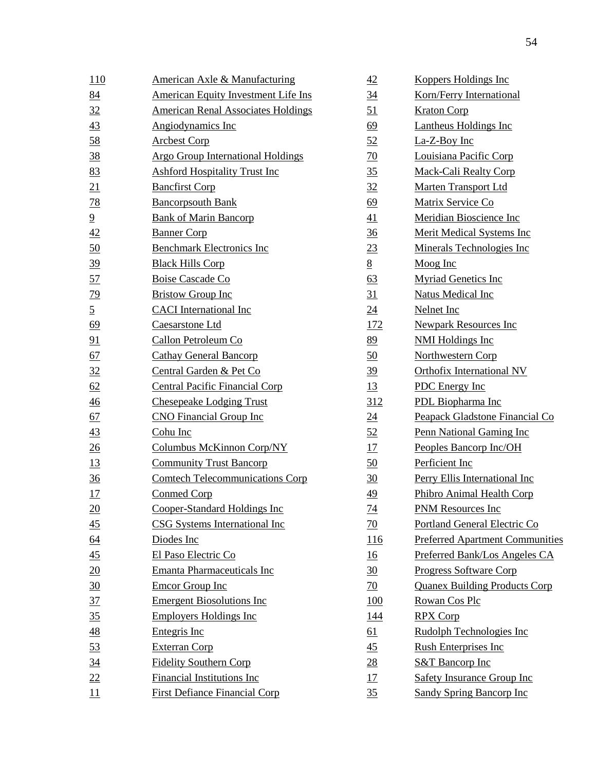| 110              | <b>American Axle &amp; Manufacturing</b>   | 42              | <b>Koppers Holdings Inc</b>            |
|------------------|--------------------------------------------|-----------------|----------------------------------------|
| 84               | <b>American Equity Investment Life Ins</b> | $\frac{34}{5}$  | Korn/Ferry International               |
| 32               | <b>American Renal Associates Holdings</b>  | 51              | <b>Kraton Corp</b>                     |
| 43               | Angiodynamics Inc                          | 69              | <b>Lantheus Holdings Inc</b>           |
| 58               | <b>Arcbest Corp</b>                        | 52              | La-Z-Boy Inc                           |
| <u>38</u>        | <b>Argo Group International Holdings</b>   | 70              | Louisiana Pacific Corp                 |
| 83               | <b>Ashford Hospitality Trust Inc</b>       | 35              | <b>Mack-Cali Realty Corp</b>           |
| 21               | <b>Bancfirst Corp</b>                      | 32              | <b>Marten Transport Ltd</b>            |
| 78               | <b>Bancorpsouth Bank</b>                   | 69              | Matrix Service Co                      |
| $\overline{9}$   | <b>Bank of Marin Bancorp</b>               | 41              | Meridian Bioscience Inc                |
| 42               | <b>Banner Corp</b>                         | $\frac{36}{5}$  | Merit Medical Systems Inc              |
| 50               | <b>Benchmark Electronics Inc</b>           | 23              | Minerals Technologies Inc              |
| 39               | <b>Black Hills Corp</b>                    | 8               | Moog Inc                               |
| 57               | <b>Boise Cascade Co</b>                    | 63              | <b>Myriad Genetics Inc</b>             |
| $\overline{29}$  | <b>Bristow Group Inc</b>                   | 31              | <b>Natus Medical Inc</b>               |
| $\overline{5}$   | <b>CACI</b> International Inc              | 24              | Nelnet Inc                             |
| 69               | Caesarstone Ltd                            | <u>172</u>      | <b>Newpark Resources Inc</b>           |
| 91               | Callon Petroleum Co                        | 89              | <b>NMI Holdings Inc</b>                |
| 67               | <b>Cathay General Bancorp</b>              | 50              | Northwestern Corp                      |
| 32               | Central Garden & Pet Co                    | <u>39</u>       | <b>Orthofix International NV</b>       |
| 62               | <b>Central Pacific Financial Corp</b>      | 13              | <b>PDC</b> Energy Inc                  |
| $\frac{46}{5}$   | <b>Chesepeake Lodging Trust</b>            | 312             | PDL Biopharma Inc                      |
| 67               | <b>CNO</b> Financial Group Inc             | 24              | Peapack Gladstone Financial Co         |
| 43               | Cohu Inc                                   | 52              | Penn National Gaming Inc               |
| 26               | Columbus McKinnon Corp/NY                  | 17              | Peoples Bancorp Inc/OH                 |
| <u>13</u>        | <b>Community Trust Bancorp</b>             | 50              | Perficient Inc                         |
| $\frac{36}{5}$   | <b>Comtech Telecommunications Corp</b>     | 30              | Perry Ellis International Inc          |
| 17               | <b>Conmed Corp</b>                         | 49              | Phibro Animal Health Corp              |
| $\underline{20}$ | Cooper-Standard Holdings Inc               | $\frac{74}{1}$  | <b>PNM Resources Inc</b>               |
| $\frac{45}{5}$   | <b>CSG Systems International Inc</b>       | 70              | Portland General Electric Co           |
| <u>64</u>        | Diodes Inc                                 | <u>116</u>      | <b>Preferred Apartment Communities</b> |
| 45               | El Paso Electric Co                        | 16              | Preferred Bank/Los Angeles CA          |
| 20               | <b>Emanta Pharmaceuticals Inc</b>          | $\frac{30}{5}$  | <b>Progress Software Corp</b>          |
| $\frac{30}{2}$   | <b>Emcor Group Inc</b>                     | $\overline{20}$ | <b>Quanex Building Products Corp</b>   |
| 37               | <b>Emergent Biosolutions Inc</b>           | <u>100</u>      | Rowan Cos Plc                          |
| 35               | <b>Employers Holdings Inc</b>              | 144             | <b>RPX Corp</b>                        |
| $\frac{48}{1}$   | Entegris Inc                               | 61              | Rudolph Technologies Inc               |
| 53               | <b>Exterran Corp</b>                       | $\frac{45}{5}$  | <b>Rush Enterprises Inc</b>            |
| <u>34</u>        | <b>Fidelity Southern Corp</b>              | 28              | <b>S&amp;T Bancorp Inc</b>             |
| 22               | <b>Financial Institutions Inc</b>          | <u>17</u>       | <b>Safety Insurance Group Inc</b>      |
| 11               | <b>First Defiance Financial Corp</b>       | 35              | <b>Sandy Spring Bancorp Inc</b>        |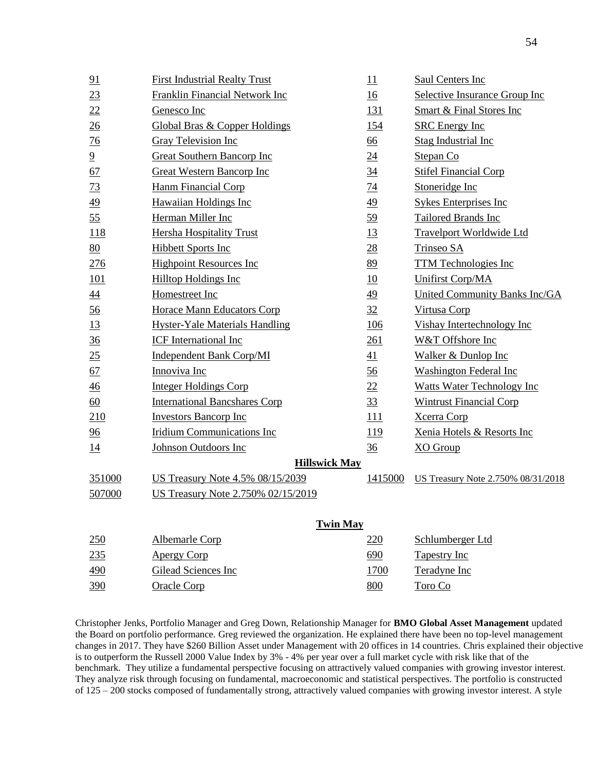|                      | 91             | <b>First Industrial Realty Trust</b>     | 11               | Saul Centers Inc                     |
|----------------------|----------------|------------------------------------------|------------------|--------------------------------------|
|                      | 23             | <b>Franklin Financial Network Inc</b>    | 16               | Selective Insurance Group Inc        |
|                      | 22             | Genesco Inc                              | <u>131</u>       | <b>Smart &amp; Final Stores Inc</b>  |
|                      | 26             | <b>Global Bras &amp; Copper Holdings</b> | <u>154</u>       | <b>SRC</b> Energy Inc                |
|                      | 76             | <b>Gray Television Inc</b>               | <u>66</u>        | <b>Stag Industrial Inc</b>           |
|                      | $\overline{6}$ | <b>Great Southern Bancorp Inc</b>        | $\underline{24}$ | Stepan Co                            |
|                      | 67             | <b>Great Western Bancorp Inc</b>         | $\frac{34}{5}$   | <b>Stifel Financial Corp</b>         |
|                      | 73             | <b>Hanm Financial Corp</b>               | <u>74</u>        | Stoneridge Inc                       |
|                      | 49             | <b>Hawaiian Holdings Inc</b>             | 49               | <b>Sykes Enterprises Inc</b>         |
|                      | 55             | Herman Miller Inc                        | $\frac{59}{2}$   | <b>Tailored Brands Inc</b>           |
|                      | 118            | <b>Hersha Hospitality Trust</b>          | <u>13</u>        | <b>Travelport Worldwide Ltd</b>      |
|                      | 80             | <b>Hibbett Sports Inc</b>                | 28               | Trinseo SA                           |
|                      | <u>276</u>     | <b>Highpoint Resources Inc</b>           | 89               | <b>TTM Technologies Inc</b>          |
|                      | <u>101</u>     | <b>Hilltop Holdings Inc</b>              | 10               | <b>Unifirst Corp/MA</b>              |
|                      | 44             | Homestreet Inc                           | <u>49</u>        | <b>United Community Banks Inc/GA</b> |
|                      | $\frac{56}{5}$ | <b>Horace Mann Educators Corp</b>        | 32               | Virtusa Corp                         |
|                      | <u>13</u>      | <b>Hyster-Yale Materials Handling</b>    | <u>106</u>       | Vishay Intertechnology Inc           |
|                      | $\frac{36}{5}$ | <b>ICF</b> International Inc             | 261              | W&T Offshore Inc                     |
|                      | 25             | <b>Independent Bank Corp/MI</b>          | 41               | <b>Walker &amp; Dunlop Inc</b>       |
|                      | 67             | Innoviva Inc                             | 56               | <b>Washington Federal Inc</b>        |
|                      | 46             | <b>Integer Holdings Corp</b>             | 22               | <b>Watts Water Technology Inc</b>    |
|                      | 60             | <b>International Bancshares Corp</b>     | 33               | <b>Wintrust Financial Corp</b>       |
|                      | 210            | <b>Investors Bancorp Inc</b>             | 111              | <b>Xcerra Corp</b>                   |
|                      | 96             | <b>Iridium Communications Inc</b>        | <u>119</u>       | Xenia Hotels & Resorts Inc           |
|                      | 14             | Johnson Outdoors Inc                     | $\frac{36}{5}$   | <b>XO</b> Group                      |
| <b>Hillswick May</b> |                |                                          |                  |                                      |
|                      | 351000         | US Treasury Note 4.5% 08/15/2039         | 1415000          | US Treasury Note 2.750% 08/31/2018   |
|                      | 507000         | US Treasury Note 2.750% 02/15/2019       |                  |                                      |
|                      |                |                                          |                  |                                      |
|                      |                | <b>Twin May</b>                          |                  |                                      |
|                      | 250            | Albemarle Corp                           | 220              | Schlumberger Ltd                     |
|                      | 235            | <b>Apergy Corp</b>                       | 690              | <b>Tapestry Inc</b>                  |
|                      | 490            | Gilead Sciences Inc                      | 1700             | Teradyne Inc                         |
|                      | 390            | <b>Oracle Corp</b>                       | 800              | Toro Co                              |

Christopher Jenks, Portfolio Manager and Greg Down, Relationship Manager for **BMO Global Asset Management** updated the Board on portfolio performance. Greg reviewed the organization. He explained there have been no top-level management changes in 2017. They have \$260 Billion Asset under Management with 20 offices in 14 countries. Chris explained their objective is to outperform the Russell 2000 Value Index by 3% - 4% per year over a full market cycle with risk like that of the benchmark. They utilize a fundamental perspective focusing on attractively valued companies with growing investor interest. They analyze risk through focusing on fundamental, macroeconomic and statistical perspectives. The portfolio is constructed of 125 – 200 stocks composed of fundamentally strong, attractively valued companies with growing investor interest. A style